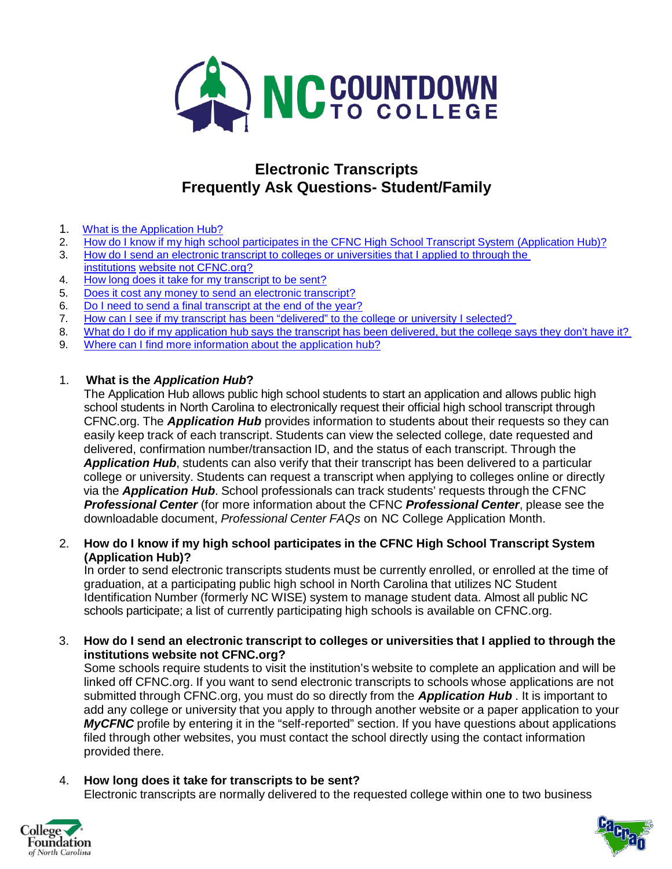

## **Electronic Transcripts Frequently Ask Questions- Student/Family**

- 1. What is the [Application Hub?](file://ad.northcarolina.edu/data/GA/College%20Access%20Challenge%20Grant/2012-2013%20CACG/GA%20Projects/College%20Application%20Week/College%20Application%20Week%202014/Documents/APR%202014%20updated/2014%20Electronic%20Transcripts%20FAQ%20-%20Site%20Coordinator.doc#One)
- 2. How do I know if my high school participates in the CFNC High School Transcript [System \(Application Hub\)?](file://ad.northcarolina.edu/data/GA/College%20Access%20Challenge%20Grant/2012-2013%20CACG/GA%20Projects/College%20Application%20Week/College%20Application%20Week%202014/Documents/APR%202014%20updated/2014%20Electronic%20Transcripts%20FAQ%20-%20Site%20Coordinator.doc#Two)<br>3. How do I send an electronic transcript to colleges or universities that I applied to through the
- How do I send an electronic transcript to colleges or [universities](file://ad.northcarolina.edu/data/GA/College%20Access%20Challenge%20Grant/2012-2013%20CACG/GA%20Projects/College%20Application%20Week/College%20Application%20Week%202014/Documents/APR%202014%20updated/2014%20Electronic%20Transcripts%20FAQ%20-%20Site%20Coordinator.doc#Three) that I applied to through the [institutions](file://ad.northcarolina.edu/data/GA/College%20Access%20Challenge%20Grant/2012-2013%20CACG/GA%20Projects/College%20Application%20Week/College%20Application%20Week%202014/Documents/APR%202014%20updated/2014%20Electronic%20Transcripts%20FAQ%20-%20Site%20Coordinator.doc#Three) website not [CFNC.org?](file://ad.northcarolina.edu/data/GA/College%20Access%20Challenge%20Grant/2012-2013%20CACG/GA%20Projects/College%20Application%20Week/College%20Application%20Week%202014/Documents/APR%202014%20updated/2014%20Electronic%20Transcripts%20FAQ%20-%20Site%20Coordinator.doc#Three)
- 4. How long does it take for my [transcript](file://ad.northcarolina.edu/data/GA/College%20Access%20Challenge%20Grant/2012-2013%20CACG/GA%20Projects/College%20Application%20Week/College%20Application%20Week%202014/Documents/APR%202014%20updated/2014%20Electronic%20Transcripts%20FAQ%20-%20Site%20Coordinator.doc#Three) to be sent?
- 5. Does it cost any money to send an electronic [transcript?](file://ad.northcarolina.edu/data/GA/College%20Access%20Challenge%20Grant/2012-2013%20CACG/GA%20Projects/College%20Application%20Week/College%20Application%20Week%202014/Documents/APR%202014%20updated/2014%20Electronic%20Transcripts%20FAQ%20-%20Site%20Coordinator.doc#Four)
- 6. Do I need to send a final [transcript](file://ad.northcarolina.edu/data/GA/College%20Access%20Challenge%20Grant/2012-2013%20CACG/GA%20Projects/College%20Application%20Week/College%20Application%20Week%202014/Documents/APR%202014%20updated/2014%20Electronic%20Transcripts%20FAQ%20-%20Site%20Coordinator.doc#Five) at the end of the year?
- 7. How can I see if [my transcript has been](file://ad.northcarolina.edu/data/GA/College%20Access%20Challenge%20Grant/2012-2013%20CACG/GA%20Projects/College%20Application%20Week/College%20Application%20Week%202014/Documents/APR%202014%20updated/2014%20Electronic%20Transcripts%20FAQ%20-%20Site%20Coordinator.doc#Six) "delivered" to the college or university I selected?
- 8. What do I do if my [application hub](file://ad.northcarolina.edu/data/GA/College%20Access%20Challenge%20Grant/2012-2013%20CACG/GA%20Projects/College%20Application%20Week/College%20Application%20Week%202014/Documents/APR%202014%20updated/2014%20Electronic%20Transcripts%20FAQ%20-%20Site%20Coordinator.doc#Seven) says the transcript has been delivered, but the college says they don't have it?
- 9. Where can I find more information about the [application hub?](file://ad.northcarolina.edu/data/GA/College%20Access%20Challenge%20Grant/2012-2013%20CACG/GA%20Projects/College%20Application%20Week/College%20Application%20Week%202014/Documents/APR%202014%20updated/2014%20Electronic%20Transcripts%20FAQ%20-%20Site%20Coordinator.doc#Eight)

## 1. **What is the** *Application Hub***?**

The Application Hub allows public high school students to start an application and allows public high school students in North Carolina to electronically request their official high school transcript through CFNC.org. The *Application Hub* provides information to students about their requests so they can easily keep track of each transcript. Students can view the selected college, date requested and delivered, confirmation number/transaction ID, and the status of each transcript. Through the *Application Hub*, students can also verify that their transcript has been delivered to a particular college or university. Students can request a transcript when applying to colleges online or directly via the *Application Hub*. School professionals can track students' requests through the CFNC *Professional Center* (for more information about the CFNC *Professional Center*, please see the downloadable document, *Professional Center FAQs* on [NC College Application Month.](http://www.nccollegeapplicationmonth.org/)

2. **How do I know if my high school participates in the CFNC High School Transcript System (Application Hub)?**

In order to send electronic transcripts students must be currently enrolled, or enrolled at the time of graduation, at a participating public high school in North Carolina that utilizes NC Student Identification Number (formerly NC WISE) system to manage student data. Almost all public NC schools participate; a list of currently participating high schools is available on CFNC.org.

3. **How do I send an electronic transcript to colleges or universities that I applied to through the institutions website not CFNC.org?**

Some schools require students to visit the institution's website to complete an application and will be linked off CFNC.org. If you want to send electronic transcripts to schools whose applications are not submitted through CFNC.org, you must do so directly from the *Application Hub* . It is important to add any college or university that you apply to through another website or a paper application to your *MyCFNC* profile by entering it in the "self-reported" section. If you have questions about applications filed through other websites, you must contact the school directly using the contact information provided there.

## 4. **How long does it take for transcripts to be sent?**

Electronic transcripts are normally delivered to the requested college within one to two business